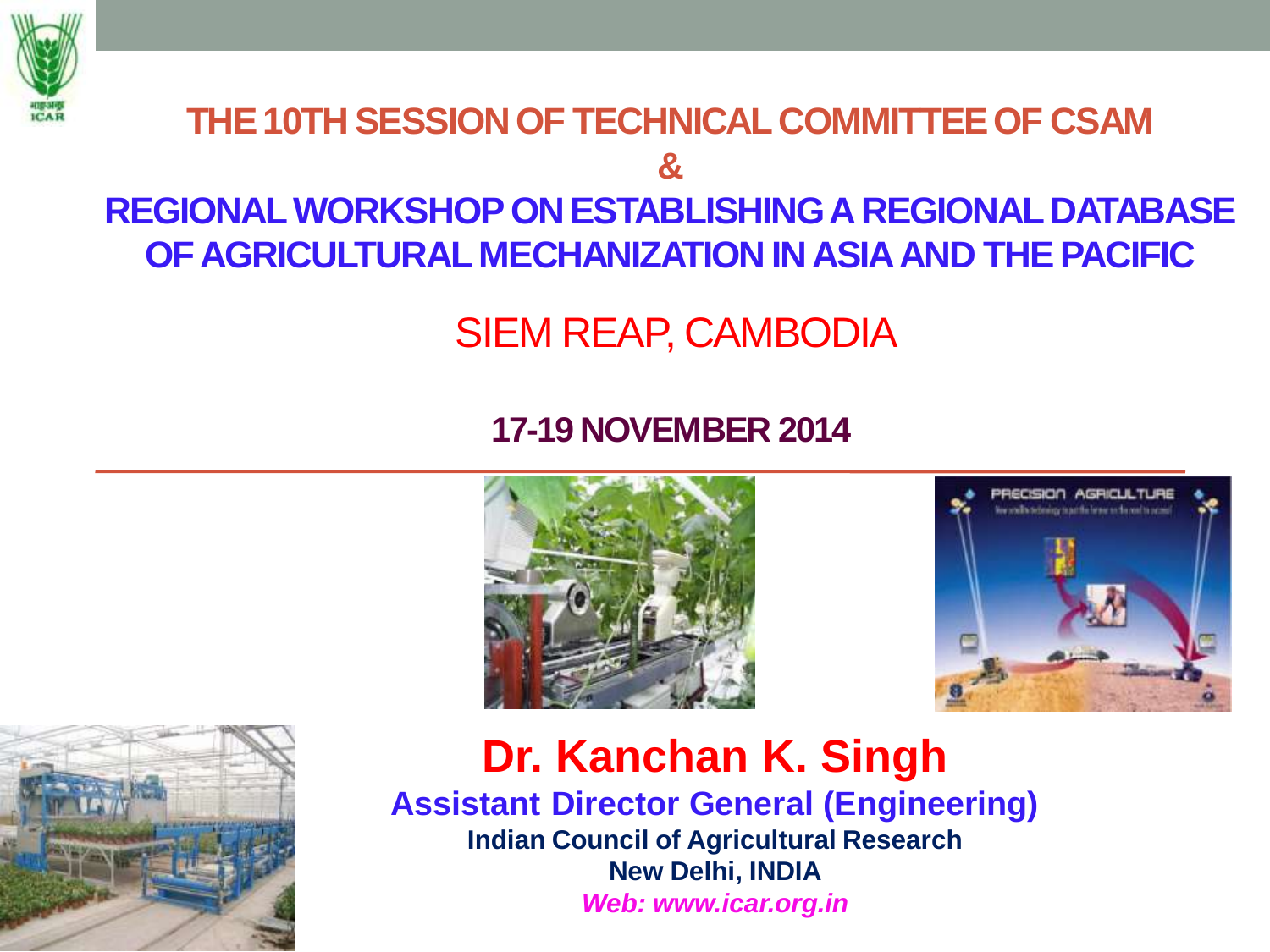

### **THE 10TH SESSION OF TECHNICAL COMMITTEE OF CSAM & REGIONAL WORKSHOP ON ESTABLISHING A REGIONAL DATABASE OF AGRICULTURAL MECHANIZATION IN ASIA AND THE PACIFIC**

SIEM REAP, CAMBODIA

#### **17-19 NOVEMBER 2014**







#### **Dr. Kanchan K. Singh Assistant Director General (Engineering) Indian Council of Agricultural Research New Delhi, INDIA** *Web: www.icar.org.in*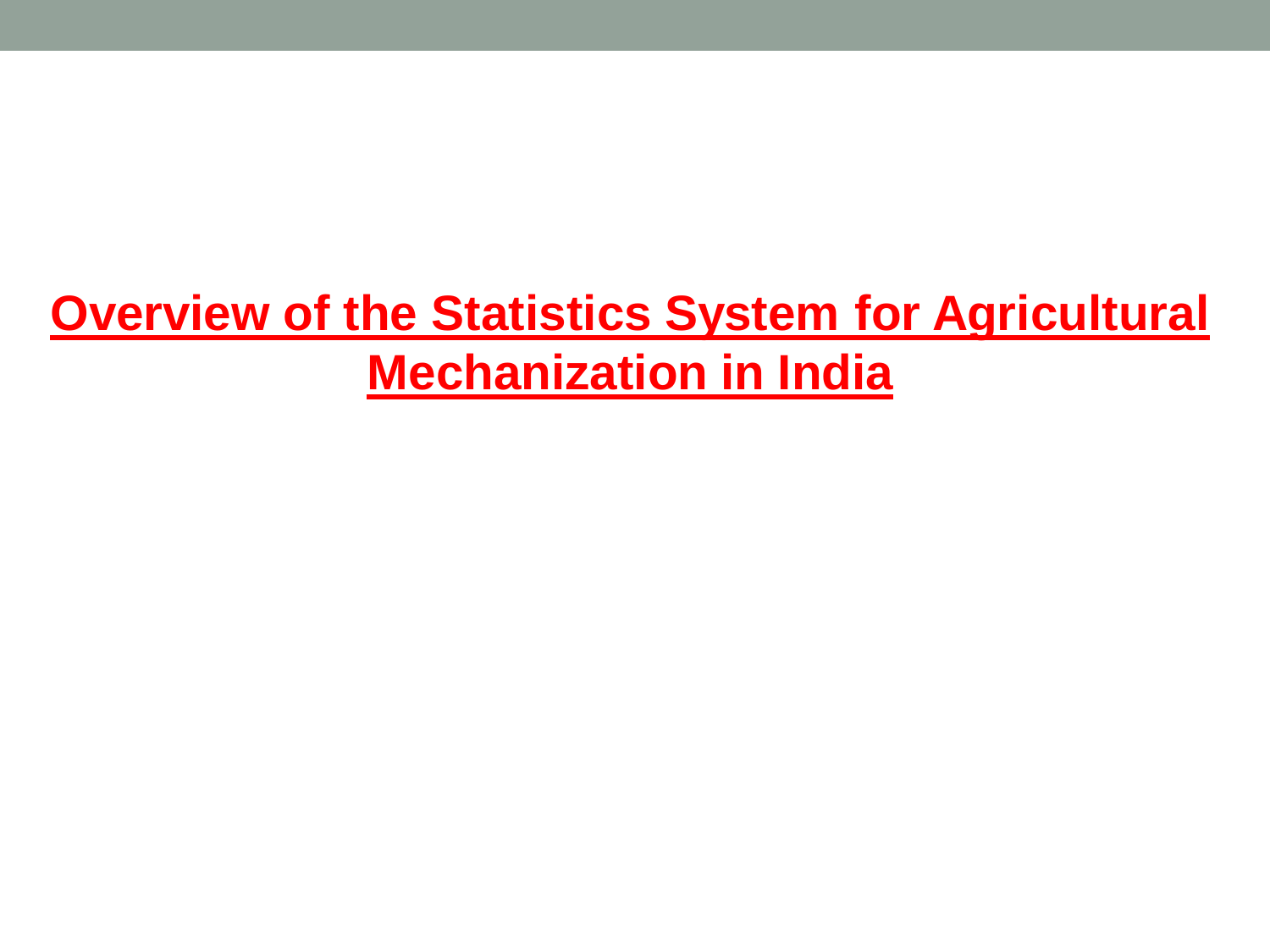# **Overview of the Statistics System for Agricultural Mechanization in India**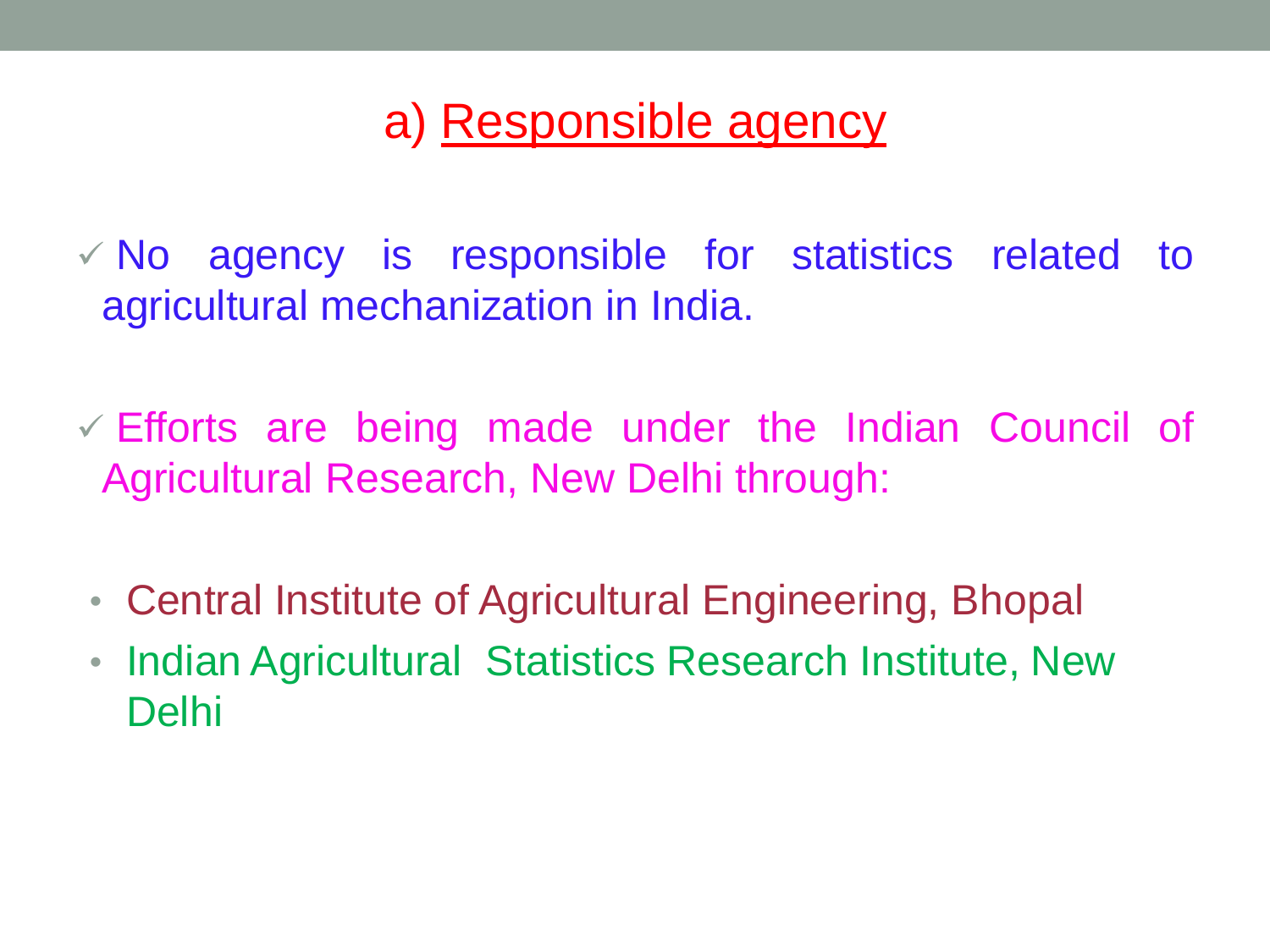## a) Responsible agency

 $\sqrt{N}$  agency is responsible for statistics related to agricultural mechanization in India.

 $\checkmark$  Efforts are being made under the Indian Council of Agricultural Research, New Delhi through:

- Central Institute of Agricultural Engineering, Bhopal
- Indian Agricultural Statistics Research Institute, New Delhi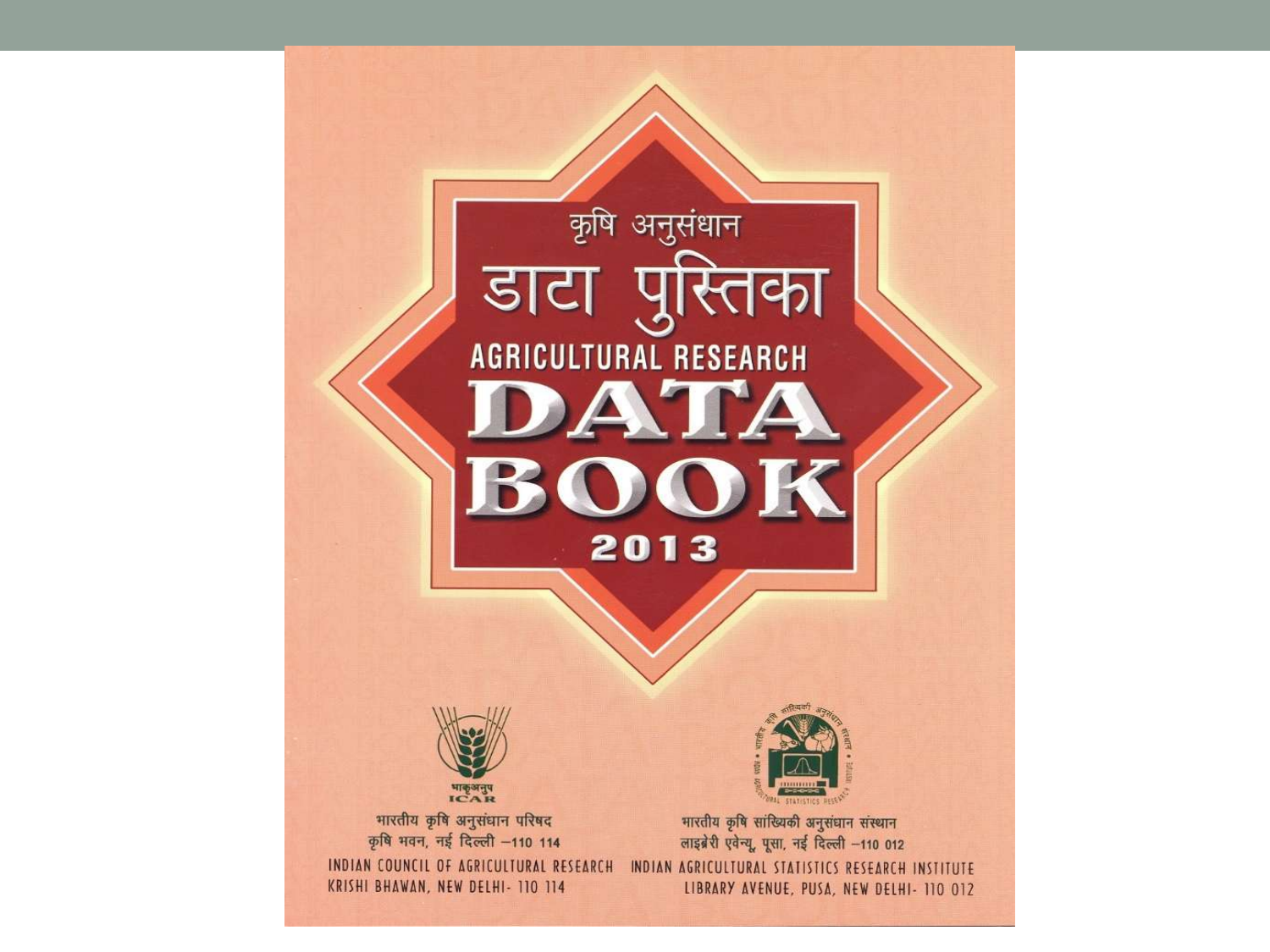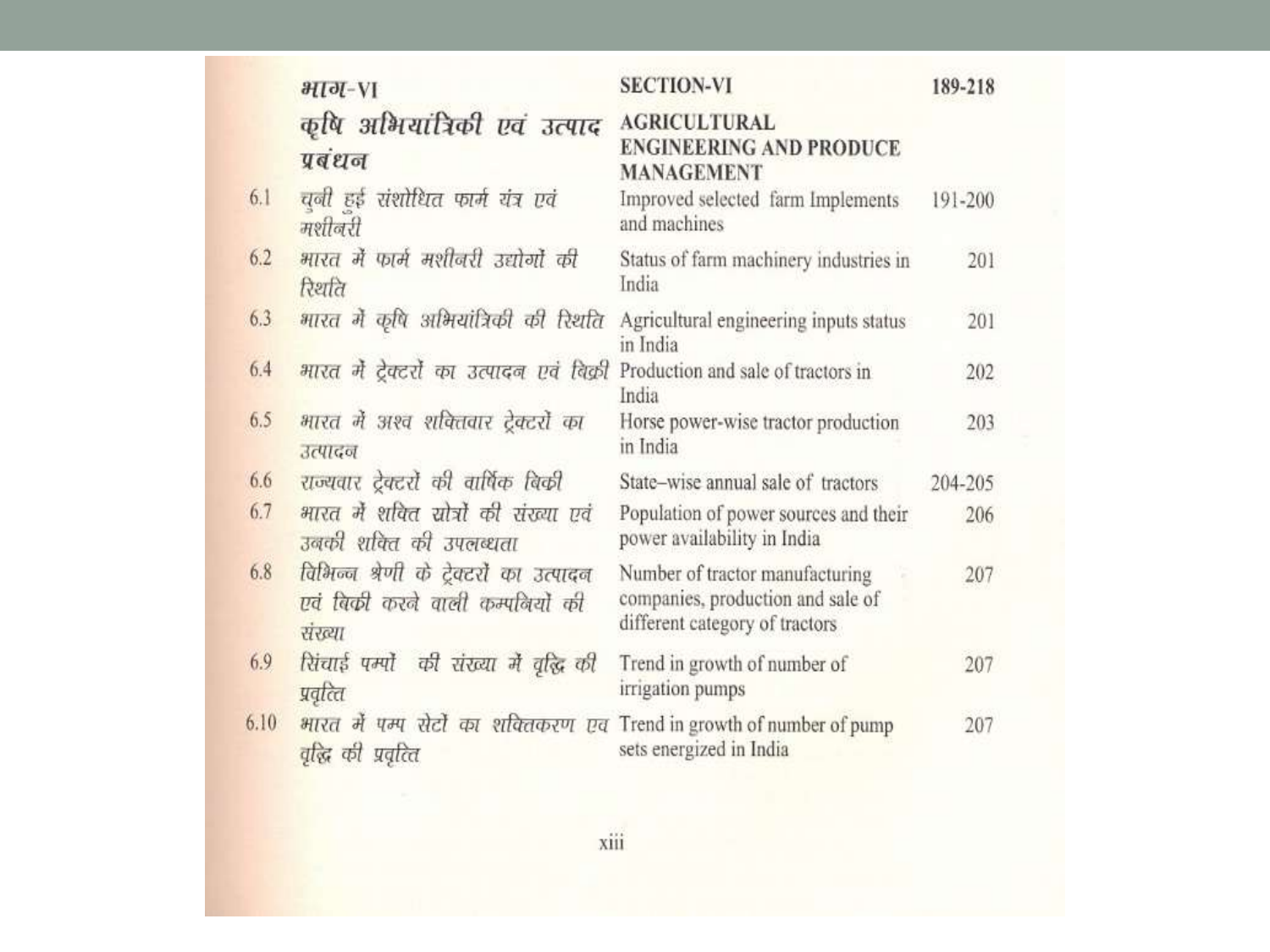|      | $HJ-VI$                                                                              | <b>SECTION-VI</b>                                                                                      | 189-218 |
|------|--------------------------------------------------------------------------------------|--------------------------------------------------------------------------------------------------------|---------|
|      | कृषि अभियांत्रिकी एवं उत्पाद<br>प्रबंधन                                              | <b>AGRICULTURAL</b><br><b>ENGINEERING AND PRODUCE</b><br><b>MANAGEMENT</b>                             |         |
| 6.1  | चनी हई संशोधित फार्म यंत्र एवं<br>मशीनरी                                             | Improved selected farm Implements<br>and machines                                                      | 191-200 |
| 6.2  | भारत में फार्म मशीजरी उद्योगों की<br>रिश्चति                                         | Status of farm machinery industries in<br>India                                                        | 201     |
| 6.3. | भारत में कृषि अभियांत्रिकी की रिशति                                                  | Agricultural engineering inputs status<br>in India                                                     | 201     |
| 6.4  | भारत में टेक्टरों का उत्पादन एवं बिक्री                                              | Production and sale of tractors in<br>India                                                            | 202     |
| 6.5  | भारत में अश्व शक्तिवार ट्रेक्टरों का<br>उत्पादन                                      | Horse power-wise tractor production<br>in India                                                        | 203     |
| 6.6  | राज्यवार ट्रेक्टरों की वार्षिक बिकी                                                  | State-wise annual sale of tractors                                                                     | 204-205 |
| 6.7  | भारत में शक्ति सोत्रों की संख्या एवं<br>उनकी शक्ति की उपलब्धता                       | Population of power sources and their<br>power availability in India                                   | 206     |
| 6.8  | विभिन्न श्रेणी के ट्रेक्टरों का उत्पादन<br>एवं बिकी करने वाली कम्पनियों की<br>संख्या | Number of tractor manufacturing<br>companies, production and sale of<br>different category of tractors | 207     |
| 6.9  | सिंचाई पम्पौ की संख्या में वृद्धि की<br>प्रवृत्ति                                    | Trend in growth of number of<br>irrigation pumps                                                       | 207     |
| 6.10 | भारत में पम्प सेटों का शक्तिकरण एव<br>वृद्धि की प्रवृत्ति                            | Trend in growth of number of pump<br>sets energized in India                                           | 207     |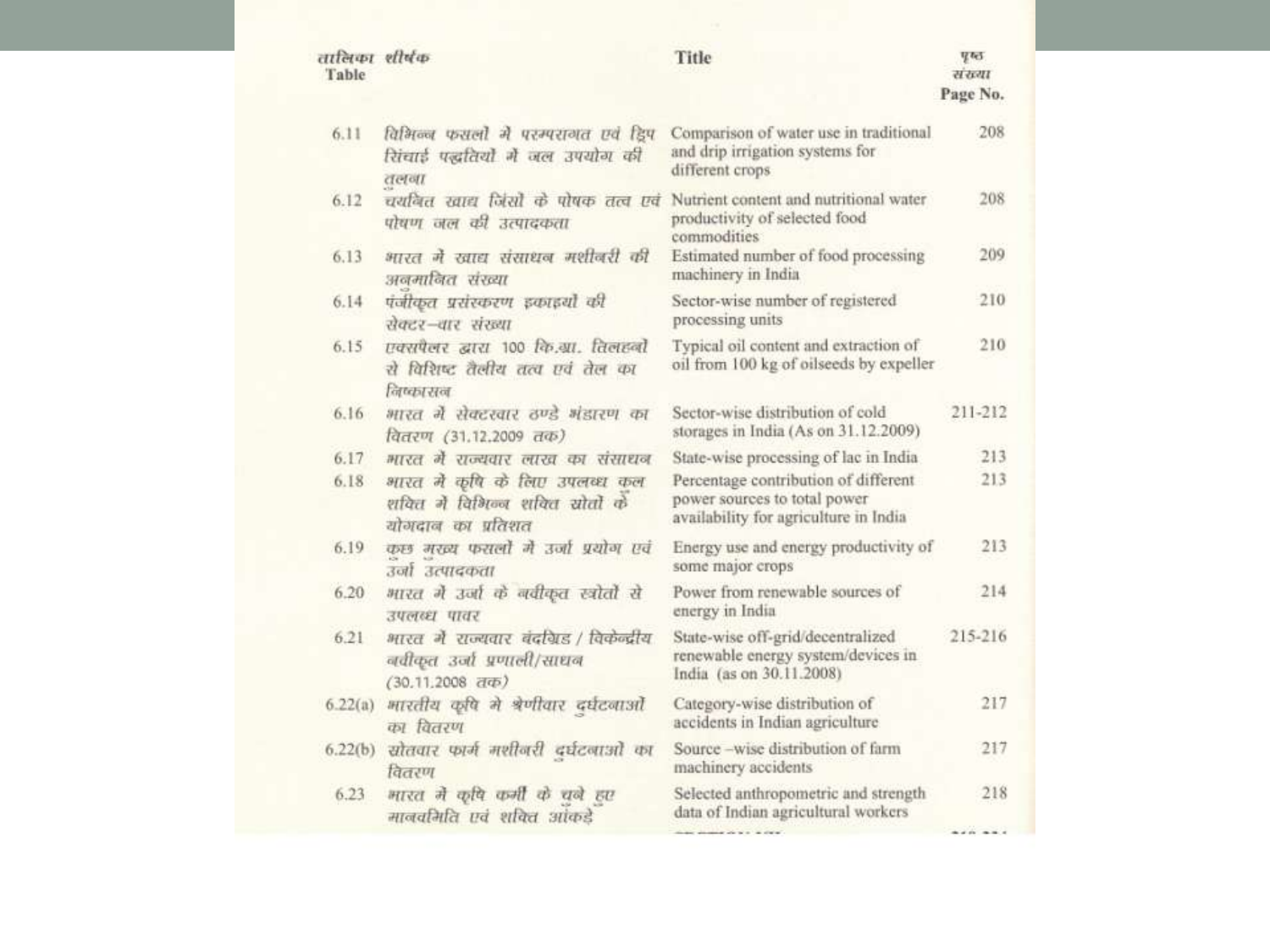| तालिका शीर्षक<br>Table |                                                                                                           | Title                                                                                                         | <b>V</b> 65<br>सं राया<br>Page No. |
|------------------------|-----------------------------------------------------------------------------------------------------------|---------------------------------------------------------------------------------------------------------------|------------------------------------|
| 6.11                   | विभिन्न फसली में परम्परागत एवं ड्रिप<br>सिंचाई पद्धतियौ में जल उपयोग की<br>तलगा                           | Comparison of water use in traditional<br>and drip irrigation systems for<br>different crops                  | 208                                |
| 6.12                   | चर्यांबत खाद्य जिंसों के पोषक तत्व एवं<br>पोषण जल की उत्पादकता                                            | Nutrient content and nutritional water<br>productivity of selected food<br>commodities                        | 208                                |
| 6.13                   | भारत में खाद्य संसाधन मशीनरी की<br>अनमानित संख्या                                                         | Estimated number of food processing<br>machinery in India                                                     | 209                                |
| 6.14                   | पंजीकृत प्रसंस्करण इकाइयो की<br>सेक्टर-बार संख्या                                                         | Sector-wise number of registered<br>processing units                                                          | 210                                |
| 6.15                   | एक्सपैलर द्वारा १०० कि.ग्रा. तिलहनी<br>से विशिष्ट तैलीय तत्व एवं तेल का<br>निष्कासन                       | Typical oil content and extraction of<br>oil from 100 kg of oilseeds by expeller                              | 210                                |
| 6.16                   | भारत में सेक्टरवार ठण्डे भंडारण का<br>वितरण (31.12.2009 तक)                                               | Sector-wise distribution of cold<br>storages in India (As on 31.12.2009)                                      | 211-212                            |
| 6.17                   | भारत में राज्यवार लाख का संसाधन                                                                           | State-wise processing of lac in India                                                                         | 213                                |
| 6.18                   | भारत में कृषि के लिए उपलब्ध कल<br>शक्ति में विभिन्न शक्ति सोतों के<br>योगदान का प्रतिशत                   | Percentage contribution of different<br>power sources to total power<br>availability for agriculture in India | 213                                |
| 6.19                   | कछ मरन्य फसलों में उर्जा प्रयोग एवं<br>उनी उत्पादकता                                                      | Energy use and energy productivity of<br>some major crops                                                     | 213                                |
| 6.20                   | भारत में उर्जा के नवीकृत स्त्रोतों से<br>उपलब्ध पावर                                                      | Power from renewable sources of<br>energy in India                                                            | 214                                |
| 6.21                   | भारत में राज्यवार बंदग्रिड / विकेन्द्रीय<br>ववीकृत उर्जा प्रणाली/साधव<br>$(30.11.2008 \text{ d}\text{D})$ | State-wise off-grid/decentralized<br>renewable energy system/devices in<br>India (as on 30.11.2008)           | 215-216                            |
| 6.22(a)                | भारतीय कृषि मे श्रेणीवार दर्घटनाओं<br>का वितरण                                                            | Category-wise distribution of<br>accidents in Indian agriculture                                              | 217                                |
| 6.22(b)                | सोतवार फार्म मशीनरी दर्घटनाओं का<br>वितरण                                                                 | Source -wise distribution of farm<br>machinery accidents                                                      | 217                                |
| 6.23                   | भारत में कृषि कभी के चले हए<br>मानवमिति एवं शक्ति आंकडे                                                   | Selected anthropometric and strength<br>data of Indian agricultural workers                                   | 218                                |
|                        |                                                                                                           |                                                                                                               | ------                             |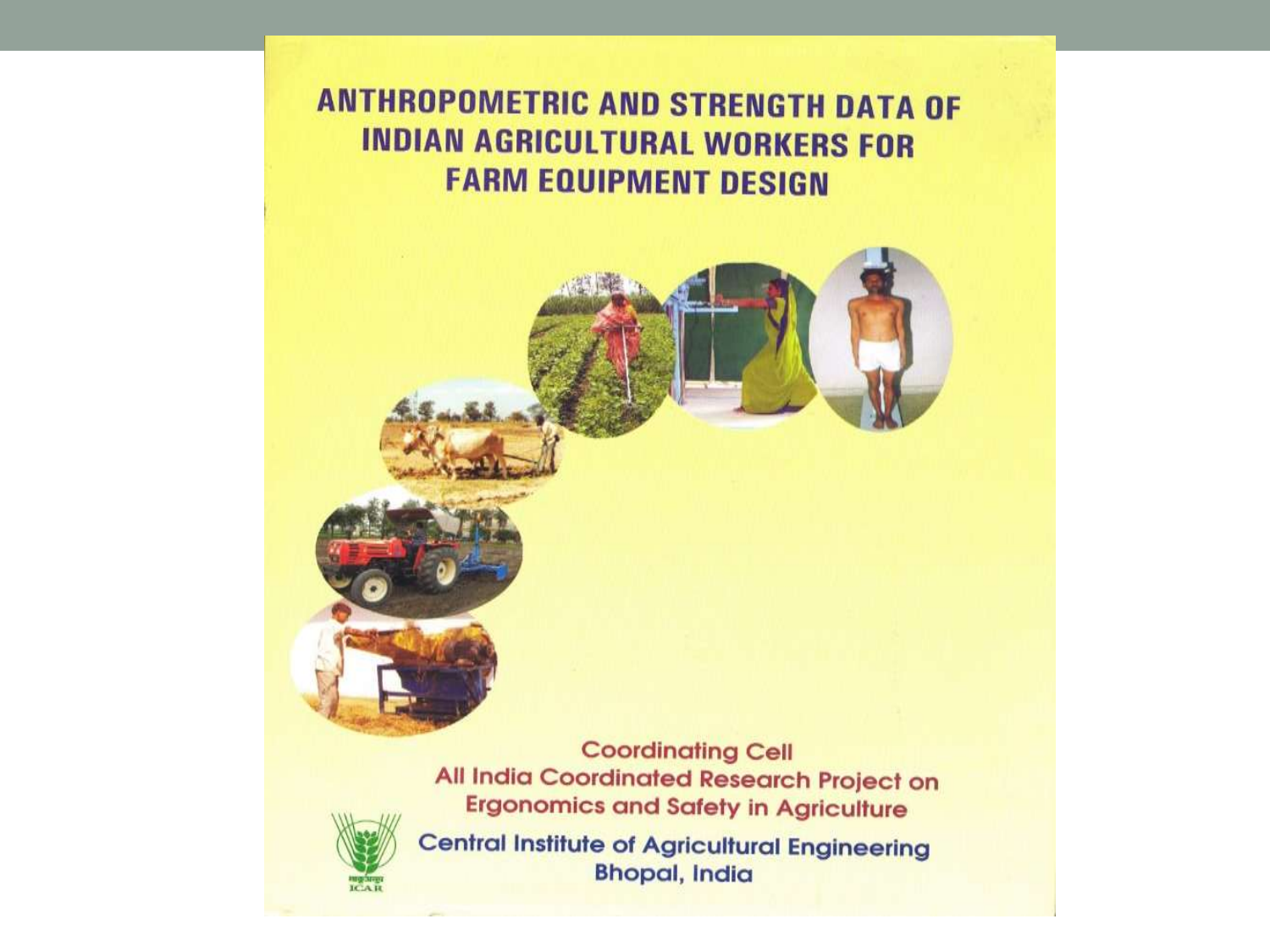#### **ANTHROPOMETRIC AND STRENGTH DATA OF INDIAN AGRICULTURAL WORKERS FOR FARM EQUIPMENT DESIGN**





**Central Institute of Agricultural Engineering Bhopal, India**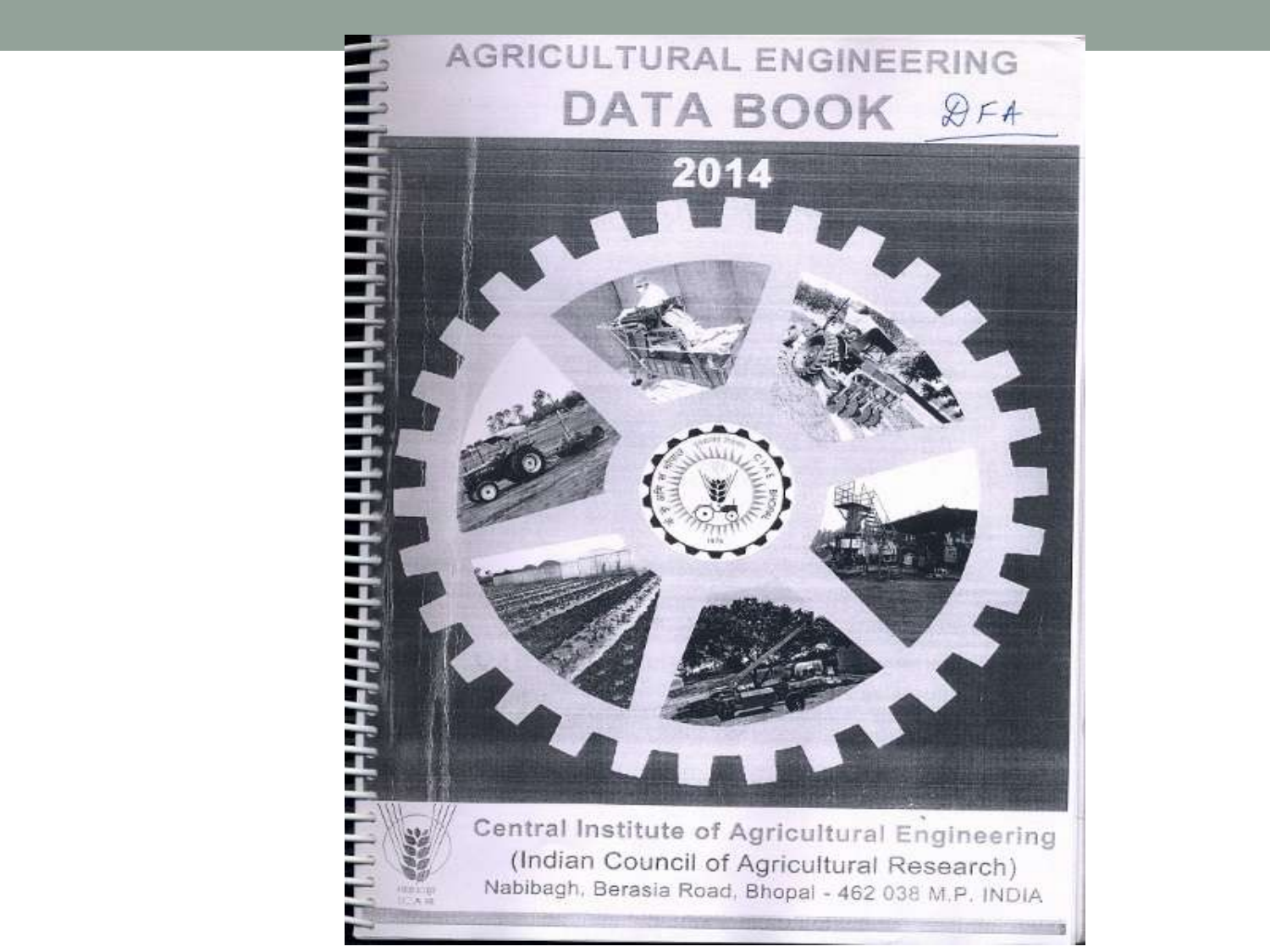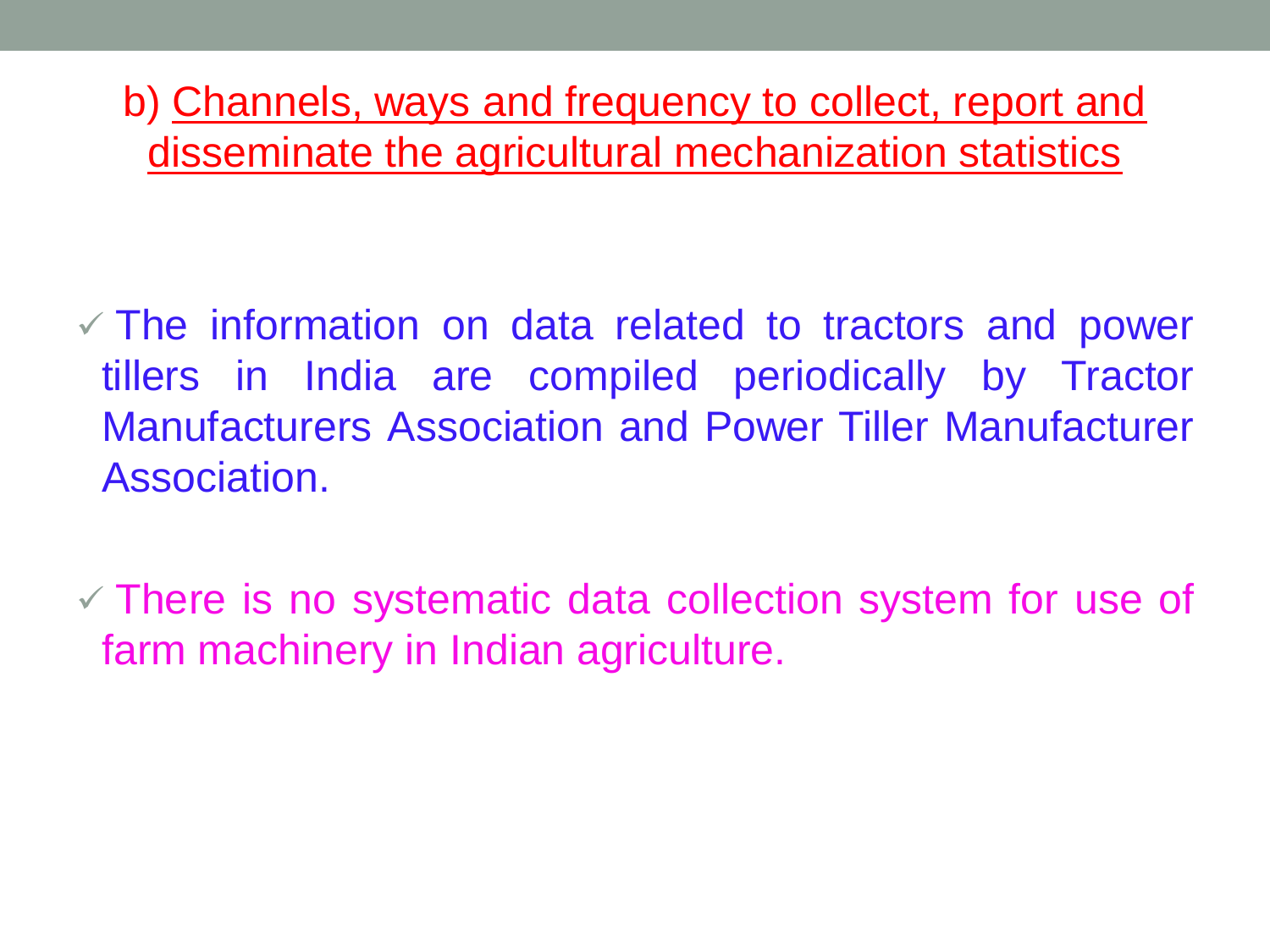b) Channels, ways and frequency to collect, report and disseminate the agricultural mechanization statistics

 $\checkmark$  The information on data related to tractors and power tillers in India are compiled periodically by Tractor Manufacturers Association and Power Tiller Manufacturer Association.

 $\checkmark$  There is no systematic data collection system for use of farm machinery in Indian agriculture.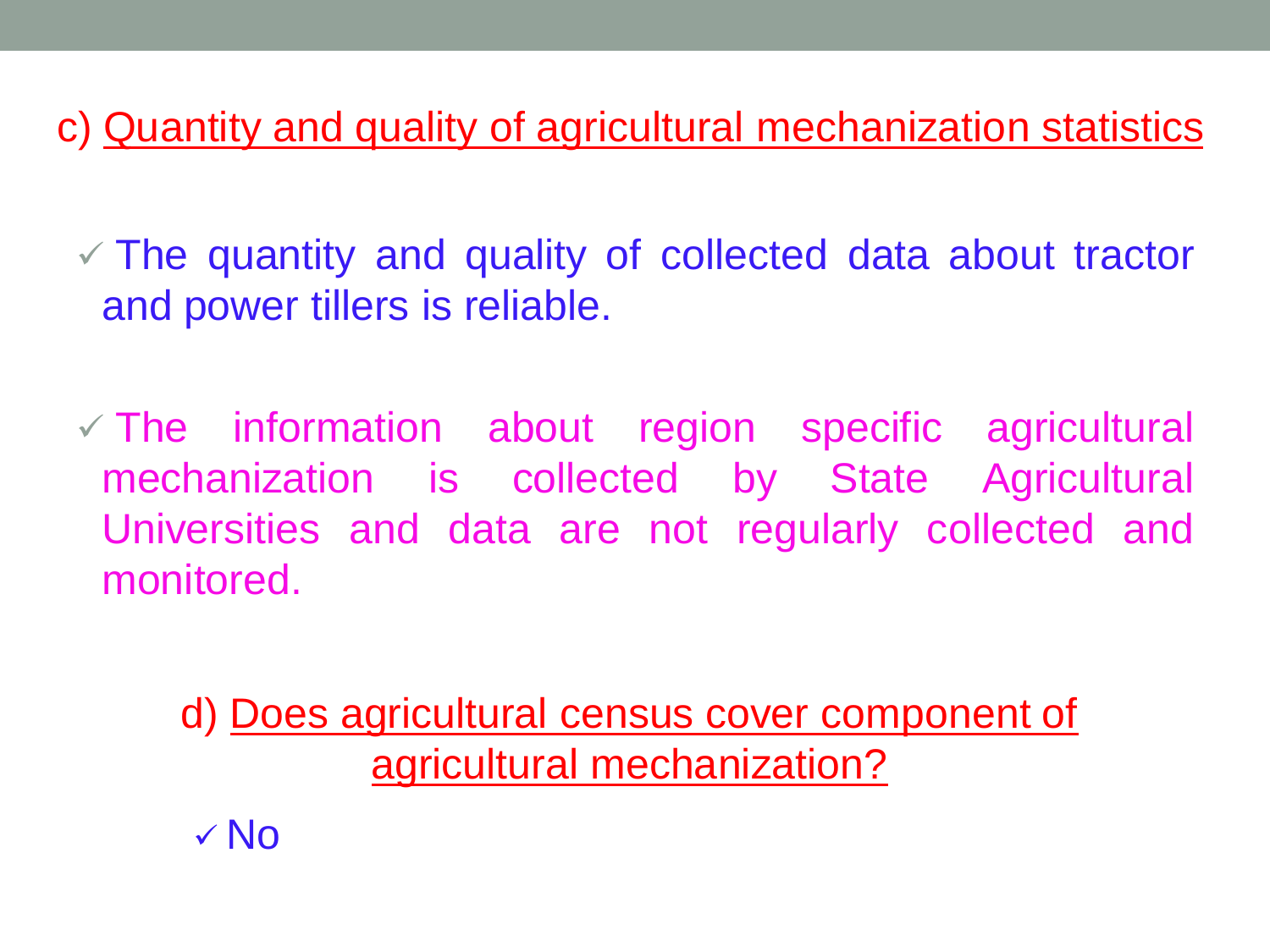c) Quantity and quality of agricultural mechanization statistics

 $\sqrt{2}$  The quantity and quality of collected data about tractor and power tillers is reliable.

 $\checkmark$  The information about region specific agricultural mechanization is collected by State Agricultural Universities and data are not regularly collected and monitored.

d) Does agricultural census cover component of agricultural mechanization?

 $\sqrt{N}$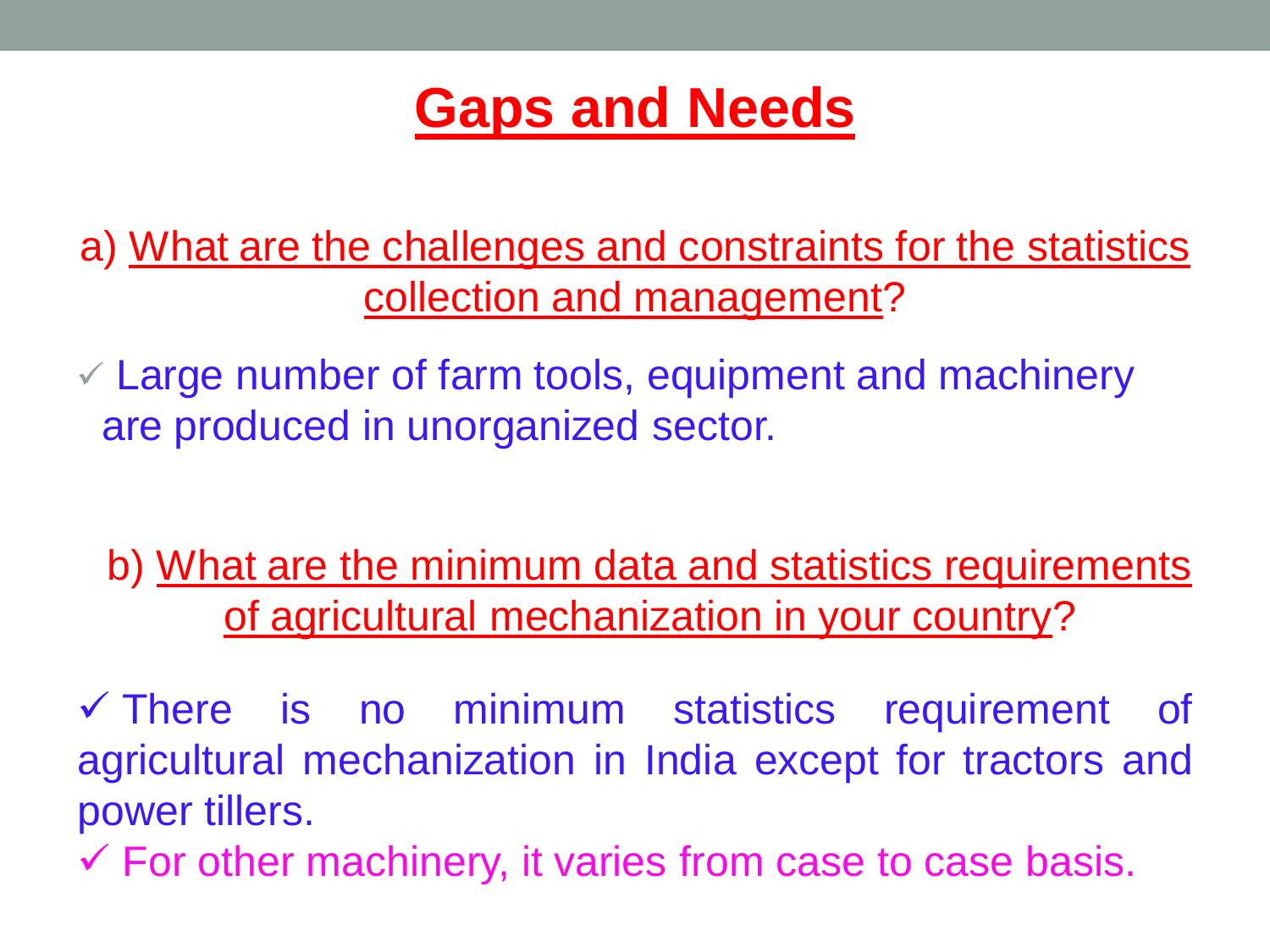

a) What are the challenges and constraints for the statistics collection and management?

 $\checkmark$  Large number of farm tools, equipment and machinery are produced in unorganized sector.

b) What are the minimum data and statistics requirements of agricultural mechanization in your country?

 There is no minimum statistics requirement of agricultural mechanization in India except for tractors and power tillers.

 $\checkmark$  For other machinery, it varies from case to case basis.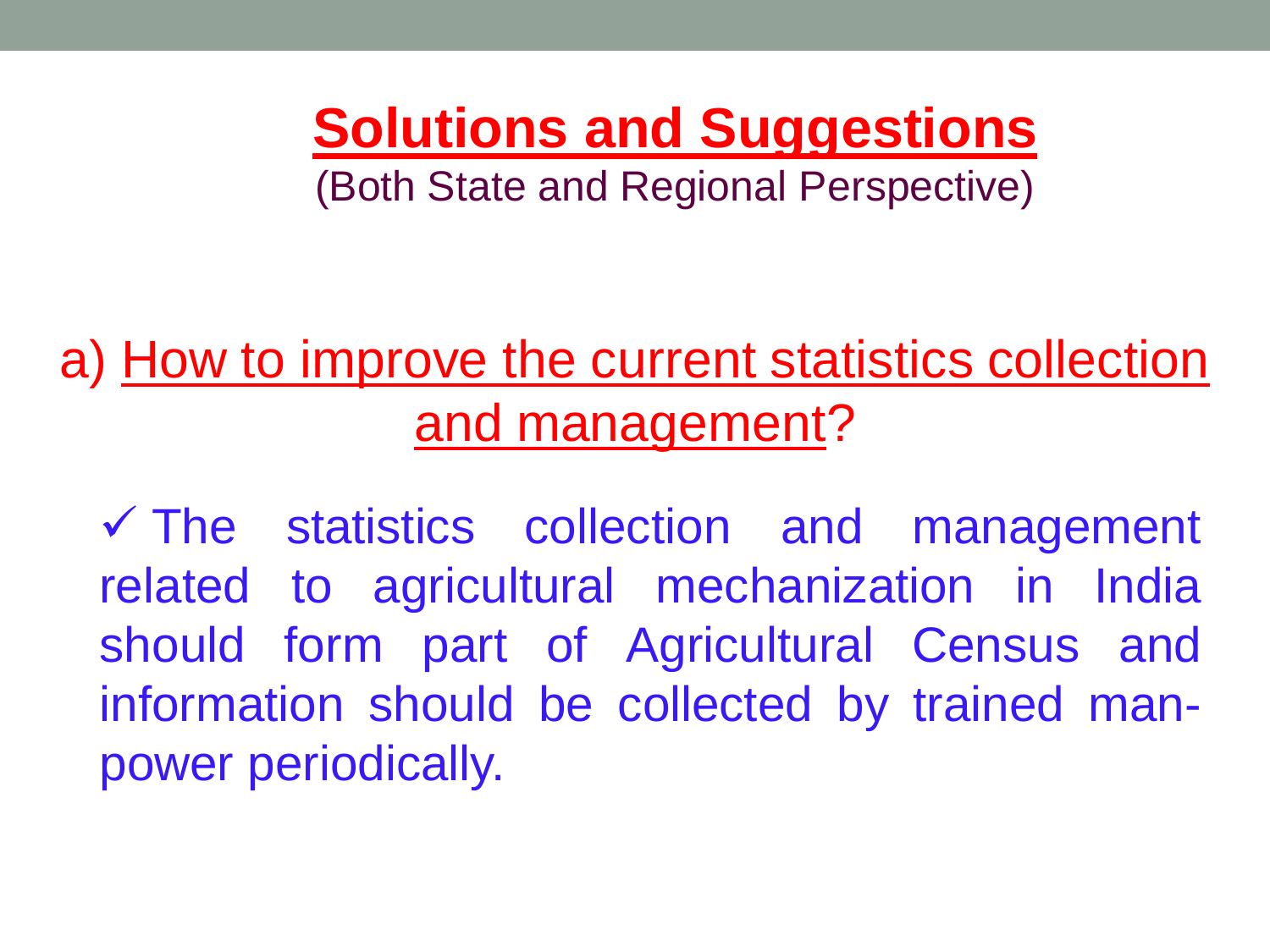**Solutions and Suggestions**  (Both State and Regional Perspective)

# a) How to improve the current statistics collection and management?

 $\checkmark$  The statistics collection and management related to agricultural mechanization in India should form part of Agricultural Census and information should be collected by trained manpower periodically.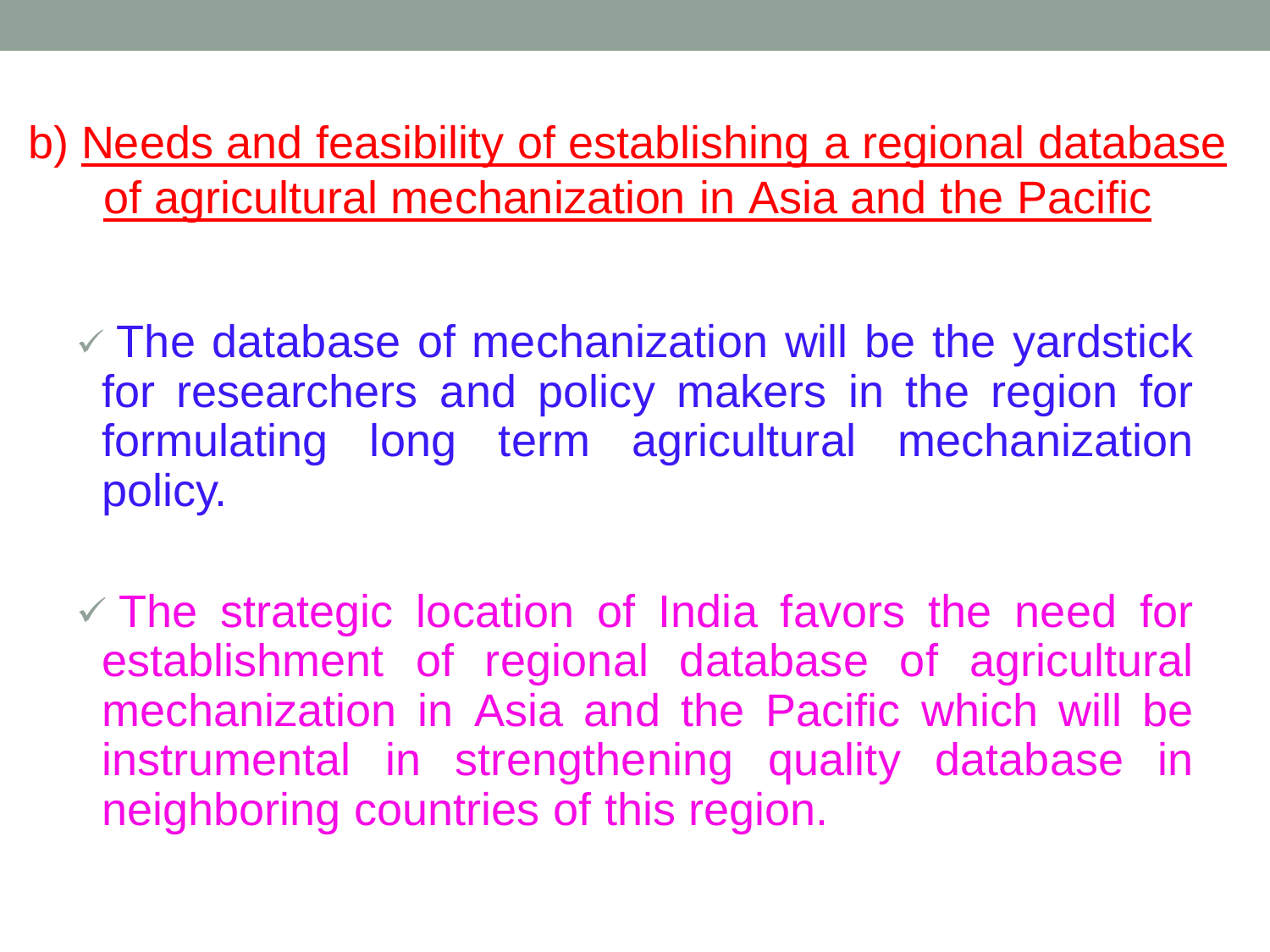b) Needs and feasibility of establishing a regional database of agricultural mechanization in Asia and the Pacific

 $\checkmark$  The database of mechanization will be the yardstick for researchers and policy makers in the region for formulating long term agricultural mechanization policy.

 $\checkmark$  The strategic location of India favors the need for establishment of regional database of agricultural mechanization in Asia and the Pacific which will be instrumental in strengthening quality database in neighboring countries of this region.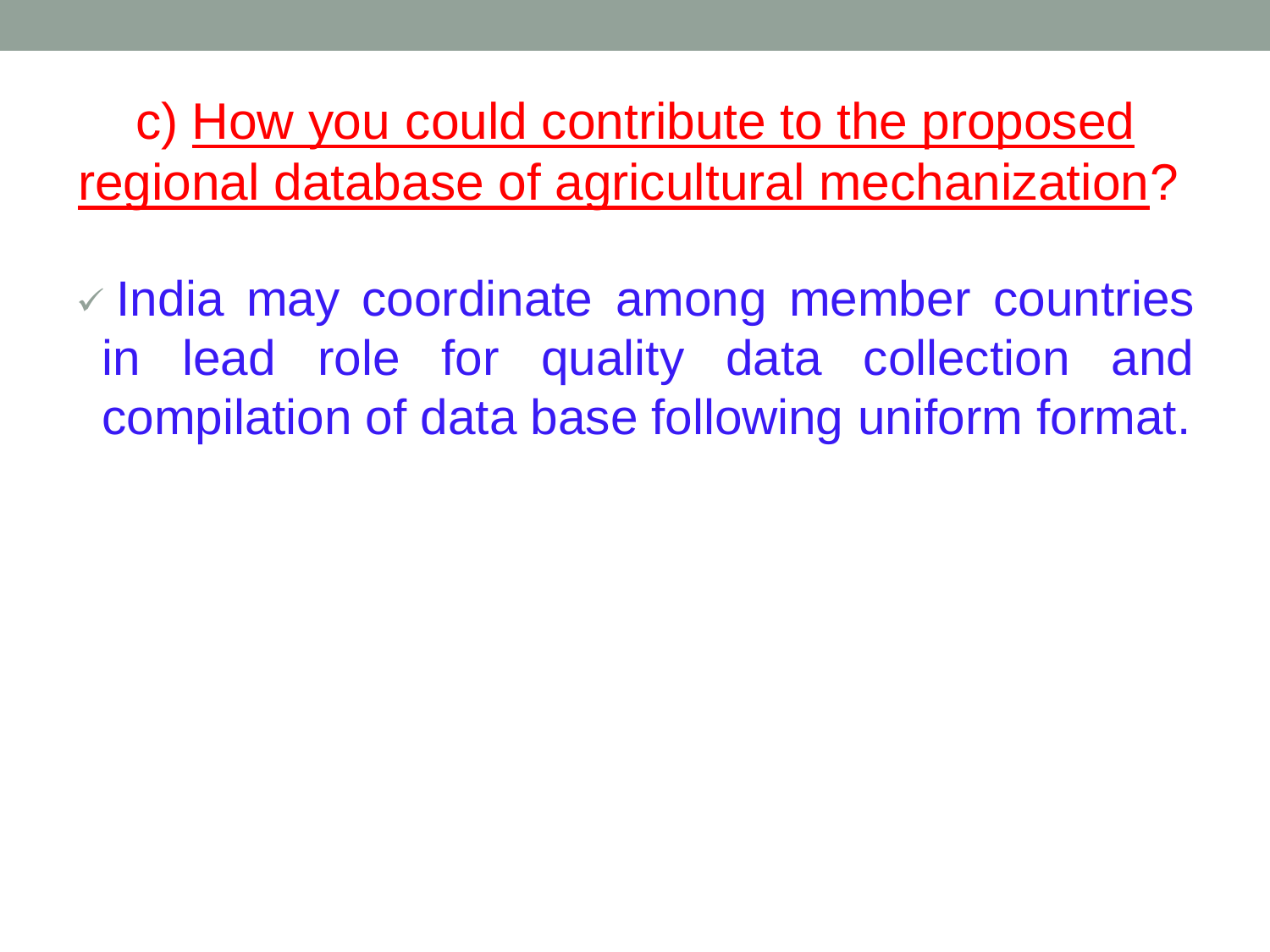c) How you could contribute to the proposed regional database of agricultural mechanization?

 $\vee$  India may coordinate among member countries in lead role for quality data collection and compilation of data base following uniform format.